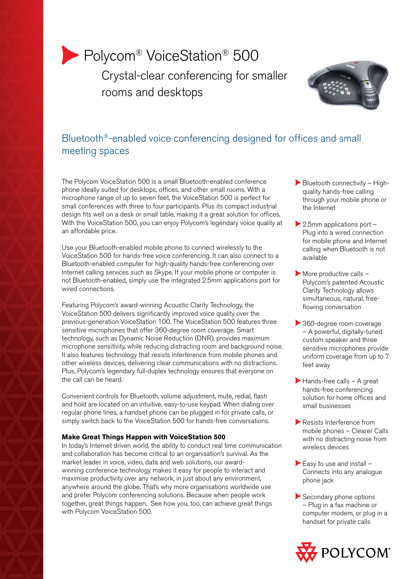# Polycom<sup>®</sup> VoiceStation<sup>®</sup> 500

 Crystal-clear conferencing for smaller rooms and desktops



# Bluetooth®-enabled voice conferencing designed for offices and small meeting spaces

The Polycom VoiceStation 500 is a small Bluetooth-enabled conference phone ideally suited for desktops, offices, and other small rooms. With a microphone range of up to seven feet, the VoiceStation 500 is perfect for small conferences with three to four participants. Plus its compact industrial design fits well on a desk or small table, making it a great solution for offices. With the VoiceStation 500, you can enjoy Polycom's legendary voice quality at an affordable price.

Use your Bluetooth-enabled mobile phone to connect wirelessly to the VoiceStation 500 for hands-free voice conferencing. It can also connect to a Bluetooth-enabled computer for high-quality hands-free conferencing over Internet calling services such as Skype. If your mobile phone or computer is not Bluetooth-enabled, simply use the integrated 2.5mm applications port for wired connections.

Featuring Polycom's award-winning Acoustic Clarity Technology, the VoiceStation 500 delivers significantly improved voice quality over the previous-generation VoiceStation 100. The VoiceStation 500 features three sensitive microphones that offer 360-degree room coverage. Smart technology, such as Dynamic Noise Reduction (DNR), provides maximum microphone sensitivity, while reducing distracting room and background noise. It also features technology that resists interference from mobile phones and other wireless devices, delivering clear communications with no distractions. Plus, Polycom's legendary full-duplex technology ensures that everyone on the call can be heard.

Convenient controls for Bluetooth, volume adjustment, mute, redial, flash and hold are located on an intuitive, easy-to-use keypad. When dialing over regular phone lines, a handset phone can be plugged in for private calls, or simply switch back to the VoiceStation 500 for hands-free conversations.

# **Make Great Things Happen with VoiceStation 500**

In today's Internet driven world, the ability to conduct real time communication and collaboration has become critical to an organisation's survival. As the market leader in voice, video, data and web solutions, our awardwinning conference technology makes it easy for people to interact and maximise productivity over any network, in just about any environment, anywhere around the globe. That's why more organisations worldwide use and prefer Polycom conferencing solutions. Because when people work together, great things happen. See how you, too, can achieve great things with Polycom VoiceStation 500.

- $\blacktriangleright$  Bluetooth connectivity Highquality hands-free calling through your mobile phone or the Internet
- $\blacktriangleright$  2.5mm applications port -Plug into a wired connection for mobile phone and Internet calling when Bluetooth is not available
- $\blacktriangleright$  More productive calls  $-$ Polycom's patented Acoustic Clarity Technology allows simultaneous, natural, freeflowing conversation
- 360-degree room coverage – A powerful, digitally-tuned custom speaker and three sensitive microphones provide uniform coverage from up to 7 feet away
- $\blacktriangleright$  Hands-free calls A great hands-free conferencing solution for home offices and small businesses
- Resists Interference from mobile phones – Clearer Calls with no distracting noise from wireless devices
- Easy to use and install  $-$ Connects into any analogue phone jack
- Secondary phone options – Plug in a fax machine or computer modem, or plug in a handset for private calls